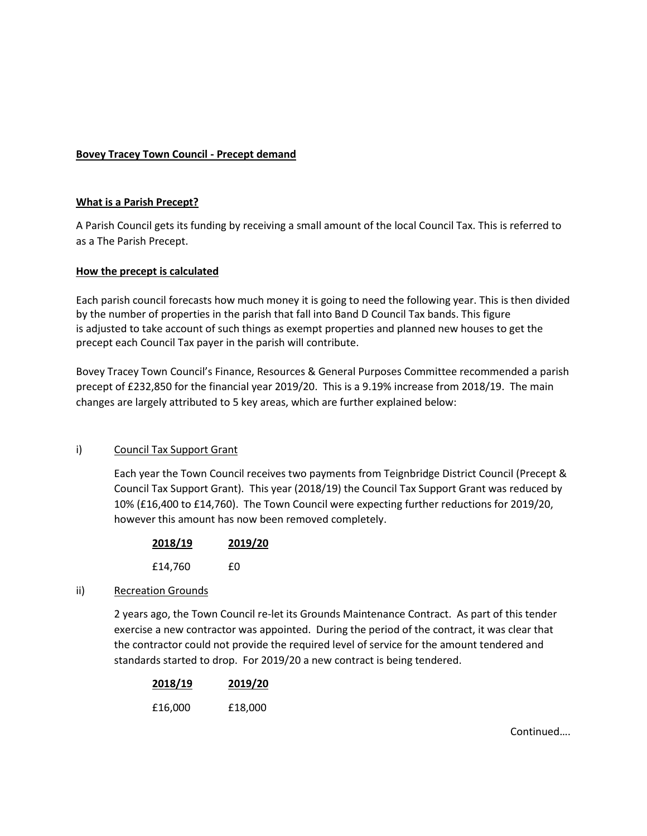# **Bovey Tracey Town Council - Precept demand**

### **What is a Parish Precept?**

A Parish Council gets its funding by receiving a small amount of the local Council Tax. This is referred to as a The Parish Precept.

### **How the precept is calculated**

Each parish council forecasts how much money it is going to need the following year. This is then divided by the number of properties in the parish that fall into Band D Council Tax bands. This figure is adjusted to take account of such things as exempt properties and planned new houses to get the precept each Council Tax payer in the parish will contribute.

Bovey Tracey Town Council's Finance, Resources & General Purposes Committee recommended a parish precept of £232,850 for the financial year 2019/20. This is a 9.19% increase from 2018/19. The main changes are largely attributed to 5 key areas, which are further explained below:

## i) Council Tax Support Grant

Each year the Town Council receives two payments from Teignbridge District Council (Precept & Council Tax Support Grant). This year (2018/19) the Council Tax Support Grant was reduced by 10% (£16,400 to £14,760). The Town Council were expecting further reductions for 2019/20, however this amount has now been removed completely.

| 2018/19 | 2019/20 |
|---------|---------|
| £14,760 | £Ω      |

#### ii) Recreation Grounds

2 years ago, the Town Council re-let its Grounds Maintenance Contract. As part of this tender exercise a new contractor was appointed. During the period of the contract, it was clear that the contractor could not provide the required level of service for the amount tendered and standards started to drop. For 2019/20 a new contract is being tendered.

| 2018/19 | 2019/20 |
|---------|---------|
| £16,000 | £18,000 |

Continued….